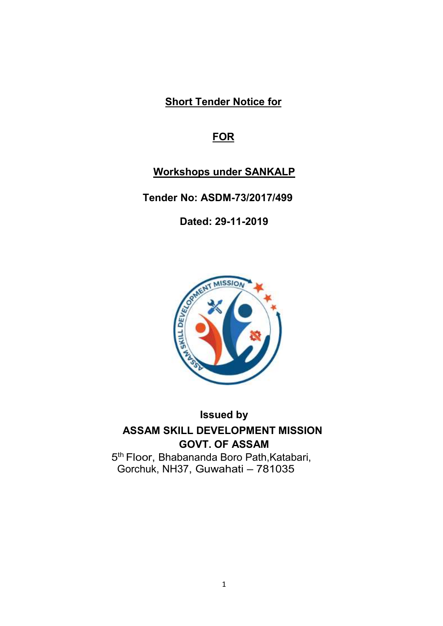Short Tender Notice for

# **FOR**

# Workshops under SANKALP

Tender No: ASDM-73/2017/499

Dated: 29-11-2019



# Issued by ASSAM SKILL DEVELOPMENT MISSION GOVT. OF ASSAM

5<sup>th</sup> Floor, Bhabananda Boro Path, Katabari, Gorchuk, NH37, Guwahati – 781035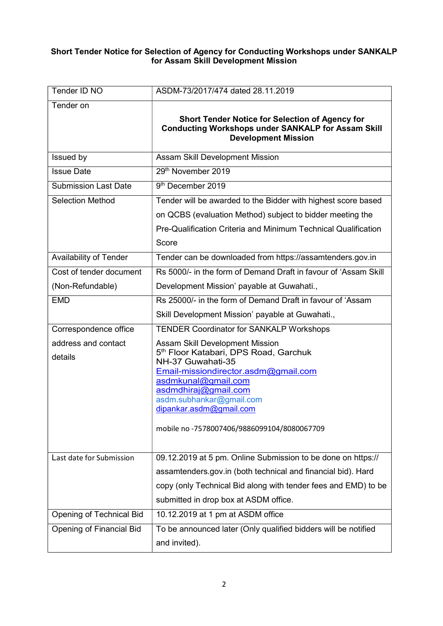#### Short Tender Notice for Selection of Agency for Conducting Workshops under SANKALP for Assam Skill Development Mission

| Tender ID NO                    | ASDM-73/2017/474 dated 28.11.2019                                                                                                                                                                                                                                                                      |
|---------------------------------|--------------------------------------------------------------------------------------------------------------------------------------------------------------------------------------------------------------------------------------------------------------------------------------------------------|
| Tender on                       | <b>Short Tender Notice for Selection of Agency for</b><br><b>Conducting Workshops under SANKALP for Assam Skill</b><br><b>Development Mission</b>                                                                                                                                                      |
| Issued by                       | Assam Skill Development Mission                                                                                                                                                                                                                                                                        |
| <b>Issue Date</b>               | 29th November 2019                                                                                                                                                                                                                                                                                     |
| <b>Submission Last Date</b>     | 9 <sup>th</sup> December 2019                                                                                                                                                                                                                                                                          |
| <b>Selection Method</b>         | Tender will be awarded to the Bidder with highest score based                                                                                                                                                                                                                                          |
|                                 | on QCBS (evaluation Method) subject to bidder meeting the                                                                                                                                                                                                                                              |
|                                 | Pre-Qualification Criteria and Minimum Technical Qualification                                                                                                                                                                                                                                         |
|                                 | Score                                                                                                                                                                                                                                                                                                  |
| <b>Availability of Tender</b>   | Tender can be downloaded from https://assamtenders.gov.in                                                                                                                                                                                                                                              |
| Cost of tender document         | Rs 5000/- in the form of Demand Draft in favour of 'Assam Skill                                                                                                                                                                                                                                        |
| (Non-Refundable)                | Development Mission' payable at Guwahati.,                                                                                                                                                                                                                                                             |
| <b>EMD</b>                      | Rs 25000/- in the form of Demand Draft in favour of 'Assam                                                                                                                                                                                                                                             |
|                                 | Skill Development Mission' payable at Guwahati.,                                                                                                                                                                                                                                                       |
| Correspondence office           | <b>TENDER Coordinator for SANKALP Workshops</b>                                                                                                                                                                                                                                                        |
| address and contact<br>details  | Assam Skill Development Mission<br>5 <sup>th</sup> Floor Katabari, DPS Road, Garchuk<br>NH-37 Guwahati-35<br>Email-missiondirector.asdm@gmail.com<br>asdmkunal@gmail.com<br>asdmdhiraj@gmail.com<br>asdm.subhankar@gmail.com<br>dipankar.asdm@gmail.com<br>mobile no -7578007406/9886099104/8080067709 |
| Last date for Submission        | 09.12.2019 at 5 pm. Online Submission to be done on https://                                                                                                                                                                                                                                           |
|                                 | assamtenders.gov.in (both technical and financial bid). Hard                                                                                                                                                                                                                                           |
|                                 | copy (only Technical Bid along with tender fees and EMD) to be                                                                                                                                                                                                                                         |
|                                 | submitted in drop box at ASDM office.                                                                                                                                                                                                                                                                  |
| Opening of Technical Bid        | 10.12.2019 at 1 pm at ASDM office                                                                                                                                                                                                                                                                      |
| <b>Opening of Financial Bid</b> | To be announced later (Only qualified bidders will be notified                                                                                                                                                                                                                                         |
|                                 | and invited).                                                                                                                                                                                                                                                                                          |
|                                 |                                                                                                                                                                                                                                                                                                        |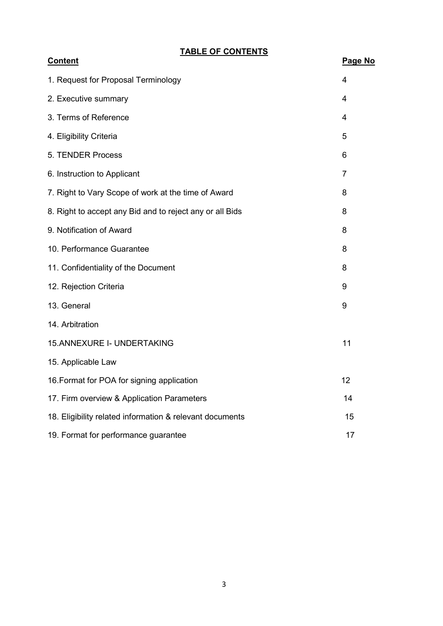TABLE OF CONTENTS

| <b>Content</b>                                           | Page No        |
|----------------------------------------------------------|----------------|
| 1. Request for Proposal Terminology                      | 4              |
| 2. Executive summary                                     | 4              |
| 3. Terms of Reference                                    | 4              |
| 4. Eligibility Criteria                                  | 5              |
| 5. TENDER Process                                        | 6              |
| 6. Instruction to Applicant                              | $\overline{7}$ |
| 7. Right to Vary Scope of work at the time of Award      | 8              |
| 8. Right to accept any Bid and to reject any or all Bids | 8              |
| 9. Notification of Award                                 | 8              |
| 10. Performance Guarantee                                | 8              |
| 11. Confidentiality of the Document                      | 8              |
| 12. Rejection Criteria                                   | 9              |
| 13. General                                              | 9              |
| 14. Arbitration                                          |                |
| 15.ANNEXURE I- UNDERTAKING                               | 11             |
| 15. Applicable Law                                       |                |
| 16. Format for POA for signing application               | 12             |
| 17. Firm overview & Application Parameters               | 14             |
| 18. Eligibility related information & relevant documents | 15             |
| 19. Format for performance guarantee                     | 17             |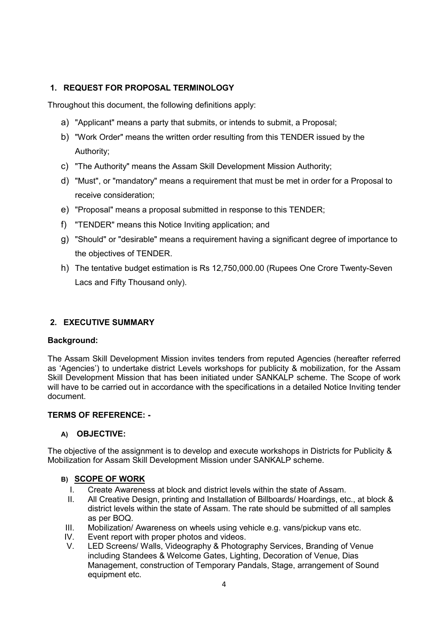# 1. REQUEST FOR PROPOSAL TERMINOLOGY

Throughout this document, the following definitions apply:

- a) "Applicant" means a party that submits, or intends to submit, a Proposal;
- b) "Work Order" means the written order resulting from this TENDER issued by the Authority;
- c) "The Authority" means the Assam Skill Development Mission Authority;
- d) "Must", or "mandatory" means a requirement that must be met in order for a Proposal to receive consideration;
- e) "Proposal" means a proposal submitted in response to this TENDER;
- f) "TENDER" means this Notice Inviting application; and
- g) "Should" or "desirable" means a requirement having a significant degree of importance to the objectives of TENDER.
- h) The tentative budget estimation is Rs 12,750,000.00 (Rupees One Crore Twenty-Seven Lacs and Fifty Thousand only).

# 2. EXECUTIVE SUMMARY

#### Background:

The Assam Skill Development Mission invites tenders from reputed Agencies (hereafter referred as 'Agencies') to undertake district Levels workshops for publicity & mobilization, for the Assam Skill Development Mission that has been initiated under SANKALP scheme. The Scope of work will have to be carried out in accordance with the specifications in a detailed Notice Inviting tender document.

#### TERMS OF REFERENCE: -

#### A) OBJECTIVE:

The objective of the assignment is to develop and execute workshops in Districts for Publicity & Mobilization for Assam Skill Development Mission under SANKALP scheme.

#### B) SCOPE OF WORK

- I. Create Awareness at block and district levels within the state of Assam.
- II. All Creative Design, printing and Installation of Billboards/ Hoardings, etc., at block & district levels within the state of Assam. The rate should be submitted of all samples as per BOQ.
- III. Mobilization/ Awareness on wheels using vehicle e.g. vans/pickup vans etc.
- IV. Event report with proper photos and videos.
- V. LED Screens/ Walls, Videography & Photography Services, Branding of Venue including Standees & Welcome Gates, Lighting, Decoration of Venue, Dias Management, construction of Temporary Pandals, Stage, arrangement of Sound equipment etc.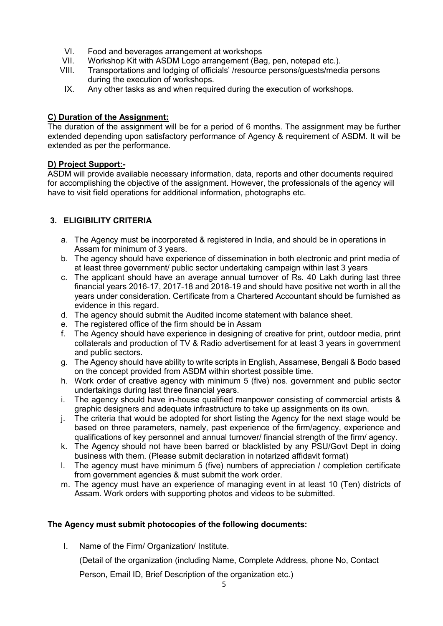- VI. Food and beverages arrangement at workshops
- VII. Workshop Kit with ASDM Logo arrangement (Bag, pen, notepad etc.).<br>VIII. Transportations and lodging of officials' /resource persons/quests/med
- Transportations and lodging of officials' /resource persons/guests/media persons during the execution of workshops.
- IX. Any other tasks as and when required during the execution of workshops.

## C) Duration of the Assignment:

The duration of the assignment will be for a period of 6 months. The assignment may be further extended depending upon satisfactory performance of Agency & requirement of ASDM. It will be extended as per the performance.

### D) Project Support:-

ASDM will provide available necessary information, data, reports and other documents required for accomplishing the objective of the assignment. However, the professionals of the agency will have to visit field operations for additional information, photographs etc.

# 3. ELIGIBILITY CRITERIA

- a. The Agency must be incorporated & registered in India, and should be in operations in Assam for minimum of 3 years.
- b. The agency should have experience of dissemination in both electronic and print media of at least three government/ public sector undertaking campaign within last 3 years
- c. The applicant should have an average annual turnover of Rs. 40 Lakh during last three financial years 2016-17, 2017-18 and 2018-19 and should have positive net worth in all the years under consideration. Certificate from a Chartered Accountant should be furnished as evidence in this regard.
- d. The agency should submit the Audited income statement with balance sheet.
- e. The registered office of the firm should be in Assam
- f. The Agency should have experience in designing of creative for print, outdoor media, print collaterals and production of TV & Radio advertisement for at least 3 years in government and public sectors.
- g. The Agency should have ability to write scripts in English, Assamese, Bengali & Bodo based on the concept provided from ASDM within shortest possible time.
- h. Work order of creative agency with minimum 5 (five) nos. government and public sector undertakings during last three financial years.
- i. The agency should have in-house qualified manpower consisting of commercial artists & graphic designers and adequate infrastructure to take up assignments on its own.
- j. The criteria that would be adopted for short listing the Agency for the next stage would be based on three parameters, namely, past experience of the firm/agency, experience and qualifications of key personnel and annual turnover/ financial strength of the firm/ agency.
- k. The Agency should not have been barred or blacklisted by any PSU/Govt Dept in doing business with them. (Please submit declaration in notarized affidavit format)
- l. The agency must have minimum 5 (five) numbers of appreciation / completion certificate from government agencies & must submit the work order.
- m. The agency must have an experience of managing event in at least 10 (Ten) districts of Assam. Work orders with supporting photos and videos to be submitted.

# The Agency must submit photocopies of the following documents:

I. Name of the Firm/ Organization/ Institute.

(Detail of the organization (including Name, Complete Address, phone No, Contact

Person, Email ID, Brief Description of the organization etc.)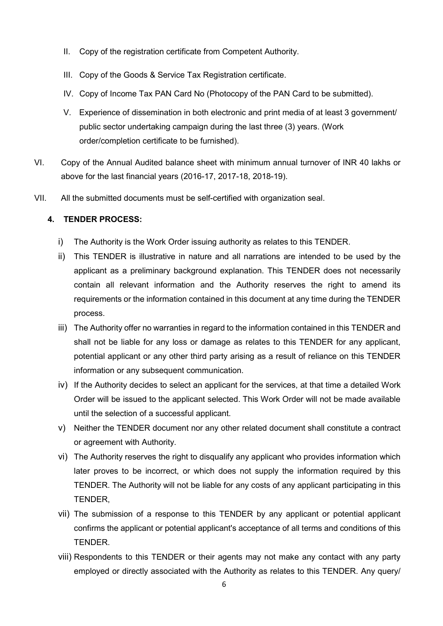- II. Copy of the registration certificate from Competent Authority.
- III. Copy of the Goods & Service Tax Registration certificate.
- IV. Copy of Income Tax PAN Card No (Photocopy of the PAN Card to be submitted).
- V. Experience of dissemination in both electronic and print media of at least 3 government/ public sector undertaking campaign during the last three (3) years. (Work order/completion certificate to be furnished).
- VI. Copy of the Annual Audited balance sheet with minimum annual turnover of INR 40 lakhs or above for the last financial years (2016-17, 2017-18, 2018-19).
- VII. All the submitted documents must be self-certified with organization seal.

### 4. TENDER PROCESS:

- i) The Authority is the Work Order issuing authority as relates to this TENDER.
- ii) This TENDER is illustrative in nature and all narrations are intended to be used by the applicant as a preliminary background explanation. This TENDER does not necessarily contain all relevant information and the Authority reserves the right to amend its requirements or the information contained in this document at any time during the TENDER process.
- iii) The Authority offer no warranties in regard to the information contained in this TENDER and shall not be liable for any loss or damage as relates to this TENDER for any applicant, potential applicant or any other third party arising as a result of reliance on this TENDER information or any subsequent communication.
- iv) If the Authority decides to select an applicant for the services, at that time a detailed Work Order will be issued to the applicant selected. This Work Order will not be made available until the selection of a successful applicant.
- v) Neither the TENDER document nor any other related document shall constitute a contract or agreement with Authority.
- vi) The Authority reserves the right to disqualify any applicant who provides information which later proves to be incorrect, or which does not supply the information required by this TENDER. The Authority will not be liable for any costs of any applicant participating in this TENDER,
- vii) The submission of a response to this TENDER by any applicant or potential applicant confirms the applicant or potential applicant's acceptance of all terms and conditions of this TENDER.
- viii) Respondents to this TENDER or their agents may not make any contact with any party employed or directly associated with the Authority as relates to this TENDER. Any query/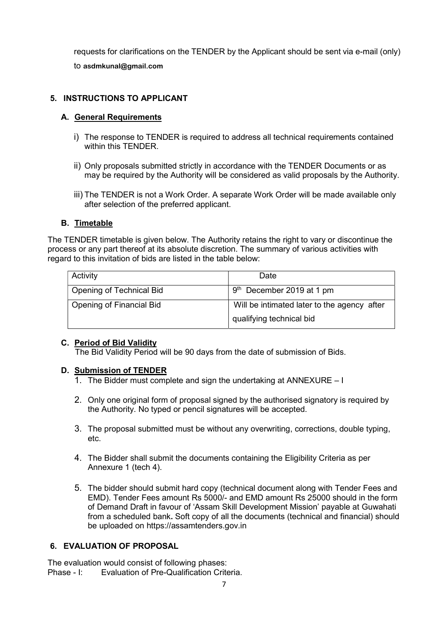requests for clarifications on the TENDER by the Applicant should be sent via e-mail (only) to asdmkunal@gmail.com

## 5. INSTRUCTIONS TO APPLICANT

#### A. General Requirements

- i) The response to TENDER is required to address all technical requirements contained within this TENDER.
- ii) Only proposals submitted strictly in accordance with the TENDER Documents or as may be required by the Authority will be considered as valid proposals by the Authority.
- iii) The TENDER is not a Work Order. A separate Work Order will be made available only after selection of the preferred applicant.

#### B. Timetable

The TENDER timetable is given below. The Authority retains the right to vary or discontinue the process or any part thereof at its absolute discretion. The summary of various activities with regard to this invitation of bids are listed in the table below:

| Activity                        | Date                                        |
|---------------------------------|---------------------------------------------|
| Opening of Technical Bid        | $9th$ December 2019 at 1 pm                 |
| <b>Opening of Financial Bid</b> | Will be intimated later to the agency after |
|                                 | qualifying technical bid                    |

#### C. Period of Bid Validity

The Bid Validity Period will be 90 days from the date of submission of Bids.

#### D. Submission of TENDER

- 1. The Bidder must complete and sign the undertaking at ANNEXURE I
- 2. Only one original form of proposal signed by the authorised signatory is required by the Authority. No typed or pencil signatures will be accepted.
- 3. The proposal submitted must be without any overwriting, corrections, double typing, etc.
- 4. The Bidder shall submit the documents containing the Eligibility Criteria as per Annexure 1 (tech 4).
- 5. The bidder should submit hard copy (technical document along with Tender Fees and EMD). Tender Fees amount Rs 5000/- and EMD amount Rs 25000 should in the form of Demand Draft in favour of 'Assam Skill Development Mission' payable at Guwahati from a scheduled bank. Soft copy of all the documents (technical and financial) should be uploaded on https://assamtenders.gov.in

# 6. EVALUATION OF PROPOSAL

The evaluation would consist of following phases: Phase - I: Evaluation of Pre-Qualification Criteria.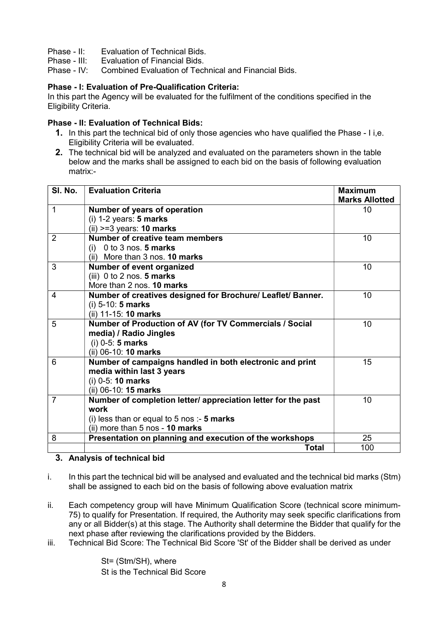- Phase II: Evaluation of Technical Bids.
- Phase III: Evaluation of Financial Bids.
- Phase IV: Combined Evaluation of Technical and Financial Bids.

### Phase - I: Evaluation of Pre-Qualification Criteria:

In this part the Agency will be evaluated for the fulfilment of the conditions specified in the Eligibility Criteria.

#### Phase - II: Evaluation of Technical Bids:

- 1. In this part the technical bid of only those agencies who have qualified the Phase I i,e. Eligibility Criteria will be evaluated.
- 2. The technical bid will be analyzed and evaluated on the parameters shown in the table below and the marks shall be assigned to each bid on the basis of following evaluation matrix:-

| SI. No.        | <b>Evaluation Criteria</b>                                    | <b>Maximum</b>        |
|----------------|---------------------------------------------------------------|-----------------------|
|                |                                                               | <b>Marks Allotted</b> |
| $\mathbf 1$    | Number of years of operation                                  | 10                    |
|                | $(i)$ 1-2 years: 5 marks                                      |                       |
|                | $(ii)$ >=3 years: 10 marks                                    |                       |
| 2              | <b>Number of creative team members</b>                        | 10                    |
|                | (i) $0$ to 3 nos. 5 marks                                     |                       |
|                | (ii) More than 3 nos. 10 marks                                |                       |
| 3              | Number of event organized                                     | 10                    |
|                | (iii) $0$ to $2$ nos. $5$ marks                               |                       |
|                | More than 2 nos. 10 marks                                     |                       |
| 4              | Number of creatives designed for Brochure/ Leaflet/ Banner.   | 10                    |
|                | (i) $5-10: 5 marks$                                           |                       |
|                | (ii) 11-15: 10 marks                                          |                       |
| 5              | Number of Production of AV (for TV Commercials / Social       | 10                    |
|                | media) / Radio Jingles                                        |                       |
|                | $(i)$ 0-5: 5 marks                                            |                       |
|                | (ii) 06-10: 10 marks                                          |                       |
| 6              | Number of campaigns handled in both electronic and print      | 15                    |
|                | media within last 3 years                                     |                       |
|                | $(i)$ 0-5: 10 marks                                           |                       |
|                | (ii) 06-10: 15 marks                                          |                       |
| $\overline{7}$ | Number of completion letter/ appreciation letter for the past | 10                    |
|                | work                                                          |                       |
|                | (i) less than or equal to 5 nos :- 5 marks                    |                       |
|                | (ii) more than 5 nos - 10 marks                               |                       |
| 8              | Presentation on planning and execution of the workshops       | 25                    |
|                | <b>Total</b>                                                  | 100                   |

#### 3. Analysis of technical bid

- i. In this part the technical bid will be analysed and evaluated and the technical bid marks (Stm) shall be assigned to each bid on the basis of following above evaluation matrix
- ii. Each competency group will have Minimum Qualification Score (technical score minimum-75) to qualify for Presentation. If required, the Authority may seek specific clarifications from any or all Bidder(s) at this stage. The Authority shall determine the Bidder that qualify for the next phase after reviewing the clarifications provided by the Bidders.
- iii. Technical Bid Score: The Technical Bid Score 'St' of the Bidder shall be derived as under

St= (Stm/SH), where St is the Technical Bid Score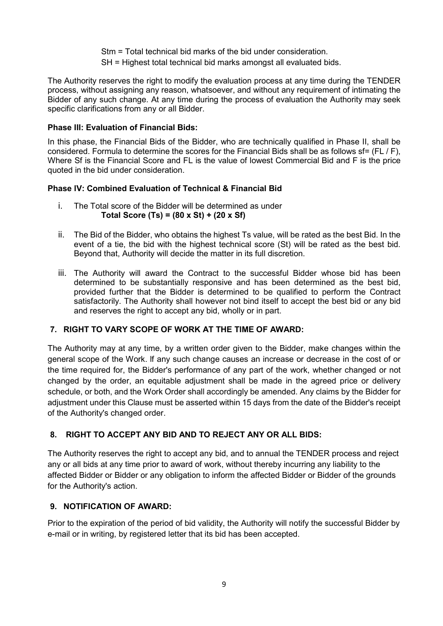Stm = Total technical bid marks of the bid under consideration.

SH = Highest total technical bid marks amongst all evaluated bids.

The Authority reserves the right to modify the evaluation process at any time during the TENDER process, without assigning any reason, whatsoever, and without any requirement of intimating the Bidder of any such change. At any time during the process of evaluation the Authority may seek specific clarifications from any or all Bidder.

## Phase III: Evaluation of Financial Bids:

In this phase, the Financial Bids of the Bidder, who are technically qualified in Phase II, shall be considered. Formula to determine the scores for the Financial Bids shall be as follows sf= (FL / F), Where Sf is the Financial Score and FL is the value of lowest Commercial Bid and F is the price quoted in the bid under consideration.

# Phase lV: Combined Evaluation of Technical & Financial Bid

- i. The Total score of the Bidder will be determined as under Total Score (Ts) =  $(80 \times St) + (20 \times St)$
- ii. The Bid of the Bidder, who obtains the highest Ts value, will be rated as the best Bid. In the event of a tie, the bid with the highest technical score (St) will be rated as the best bid. Beyond that, Authority will decide the matter in its full discretion.
- iii. The Authority will award the Contract to the successful Bidder whose bid has been determined to be substantially responsive and has been determined as the best bid, provided further that the Bidder is determined to be qualified to perform the Contract satisfactorily. The Authority shall however not bind itself to accept the best bid or any bid and reserves the right to accept any bid, wholly or in part.

# 7. RIGHT TO VARY SCOPE OF WORK AT THE TIME OF AWARD:

The Authority may at any time, by a written order given to the Bidder, make changes within the general scope of the Work. lf any such change causes an increase or decrease in the cost of or the time required for, the Bidder's performance of any part of the work, whether changed or not changed by the order, an equitable adjustment shall be made in the agreed price or delivery schedule, or both, and the Work Order shall accordingly be amended. Any claims by the Bidder for adjustment under this Clause must be asserted within 15 days from the date of the Bidder's receipt of the Authority's changed order.

# 8. RIGHT TO ACCEPT ANY BID AND TO REJECT ANY OR ALL BIDS:

The Authority reserves the right to accept any bid, and to annual the TENDER process and reject any or all bids at any time prior to award of work, without thereby incurring any liability to the affected Bidder or Bidder or any obligation to inform the affected Bidder or Bidder of the grounds for the Authority's action.

# 9. NOTIFICATION OF AWARD:

Prior to the expiration of the period of bid validity, the Authority will notify the successful Bidder by e-mail or in writing, by registered letter that its bid has been accepted.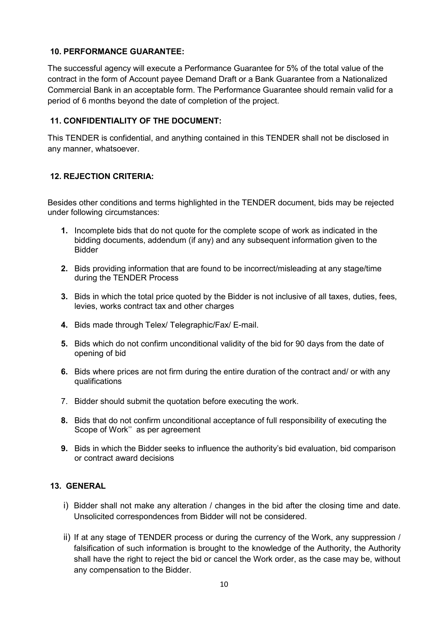## 10. PERFORMANCE GUARANTEE:

The successful agency will execute a Performance Guarantee for 5% of the total value of the contract in the form of Account payee Demand Draft or a Bank Guarantee from a Nationalized Commercial Bank in an acceptable form. The Performance Guarantee should remain valid for a period of 6 months beyond the date of completion of the project.

### 11. CONFIDENTIALITY OF THE DOCUMENT:

This TENDER is confidential, and anything contained in this TENDER shall not be disclosed in any manner, whatsoever.

# 12. REJECTION CRITERIA:

Besides other conditions and terms highlighted in the TENDER document, bids may be rejected under following circumstances:

- 1. Incomplete bids that do not quote for the complete scope of work as indicated in the bidding documents, addendum (if any) and any subsequent information given to the Bidder
- 2. Bids providing information that are found to be incorrect/misleading at any stage/time during the TENDER Process
- 3. Bids in which the total price quoted by the Bidder is not inclusive of all taxes, duties, fees, levies, works contract tax and other charges
- 4. Bids made through Telex/ Telegraphic/Fax/ E-mail.
- 5. Bids which do not confirm unconditional validity of the bid for 90 days from the date of opening of bid
- 6. Bids where prices are not firm during the entire duration of the contract and/ or with any qualifications
- 7. Bidder should submit the quotation before executing the work.
- 8. Bids that do not confirm unconditional acceptance of full responsibility of executing the Scope of Work'' as per agreement
- 9. Bids in which the Bidder seeks to influence the authority's bid evaluation, bid comparison or contract award decisions

# 13. GENERAL

- i) Bidder shall not make any alteration / changes in the bid after the closing time and date. Unsolicited correspondences from Bidder will not be considered.
- ii) If at any stage of TENDER process or during the currency of the Work, any suppression / falsification of such information is brought to the knowledge of the Authority, the Authority shall have the right to reject the bid or cancel the Work order, as the case may be, without any compensation to the Bidder.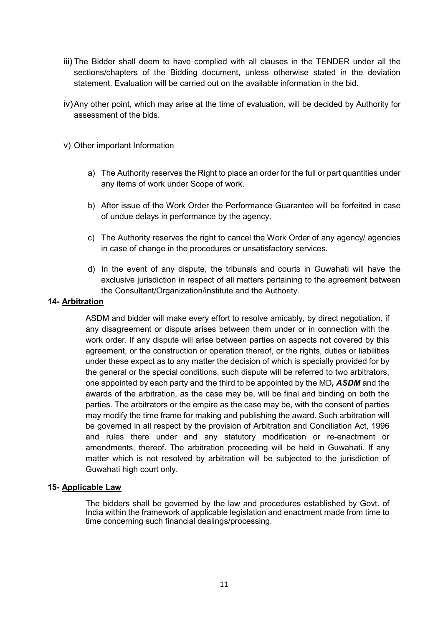- iii) The Bidder shall deem to have complied with all clauses in the TENDER under all the sections/chapters of the Bidding document, unless otherwise stated in the deviation statement. Evaluation will be carried out on the available information in the bid.
- iv) Any other point, which may arise at the time of evaluation, will be decided by Authority for assessment of the bids.
- v) Other important Information
	- a) The Authority reserves the Right to place an order for the full or part quantities under any items of work under Scope of work.
	- b) After issue of the Work Order the Performance Guarantee will be forfeited in case of undue delays in performance by the agency.
	- c) The Authority reserves the right to cancel the Work Order of any agency/ agencies in case of change in the procedures or unsatisfactory services.
	- d) In the event of any dispute, the tribunals and courts in Guwahati will have the exclusive jurisdiction in respect of all matters pertaining to the agreement between the Consultant/Organization/institute and the Authority.

#### 14- Arbitration

ASDM and bidder will make every effort to resolve amicably, by direct negotiation, if any disagreement or dispute arises between them under or in connection with the work order. If any dispute will arise between parties on aspects not covered by this agreement, or the construction or operation thereof, or the rights, duties or liabilities under these expect as to any matter the decision of which is specially provided for by the general or the special conditions, such dispute will be referred to two arbitrators, one appointed by each party and the third to be appointed by the MD, ASDM and the awards of the arbitration, as the case may be, will be final and binding on both the parties. The arbitrators or the empire as the case may be, with the consent of parties may modify the time frame for making and publishing the award. Such arbitration will be governed in all respect by the provision of Arbitration and Conciliation Act, 1996 and rules there under and any statutory modification or re-enactment or amendments, thereof. The arbitration proceeding will be held in Guwahati. If any matter which is not resolved by arbitration will be subjected to the jurisdiction of Guwahati high court only.

#### 15- Applicable Law

The bidders shall be governed by the law and procedures established by Govt. of India within the framework of applicable legislation and enactment made from time to time concerning such financial dealings/processing.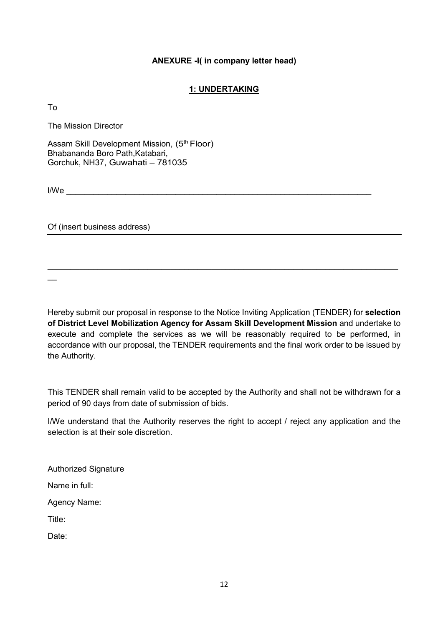#### ANEXURE -I( in company letter head)

### 1: UNDERTAKING

To

The Mission Director

Assam Skill Development Mission, (5<sup>th</sup> Floor) Bhabananda Boro Path,Katabari, Gorchuk, NH37, Guwahati – 781035

 $\textsf{I/We}$ 

Of (insert business address)

Hereby submit our proposal in response to the Notice Inviting Application (TENDER) for selection of District Level Mobilization Agency for Assam Skill Development Mission and undertake to execute and complete the services as we will be reasonably required to be performed, in accordance with our proposal, the TENDER requirements and the final work order to be issued by the Authority.

 $\mathcal{L}_\mathcal{L} = \{ \mathcal{L}_\mathcal{L} = \{ \mathcal{L}_\mathcal{L} = \{ \mathcal{L}_\mathcal{L} = \{ \mathcal{L}_\mathcal{L} = \{ \mathcal{L}_\mathcal{L} = \{ \mathcal{L}_\mathcal{L} = \{ \mathcal{L}_\mathcal{L} = \{ \mathcal{L}_\mathcal{L} = \{ \mathcal{L}_\mathcal{L} = \{ \mathcal{L}_\mathcal{L} = \{ \mathcal{L}_\mathcal{L} = \{ \mathcal{L}_\mathcal{L} = \{ \mathcal{L}_\mathcal{L} = \{ \mathcal{L}_\mathcal{$ 

This TENDER shall remain valid to be accepted by the Authority and shall not be withdrawn for a period of 90 days from date of submission of bids.

I/We understand that the Authority reserves the right to accept / reject any application and the selection is at their sole discretion.

Authorized Signature

Name in full:

Agency Name:

Title:

Date: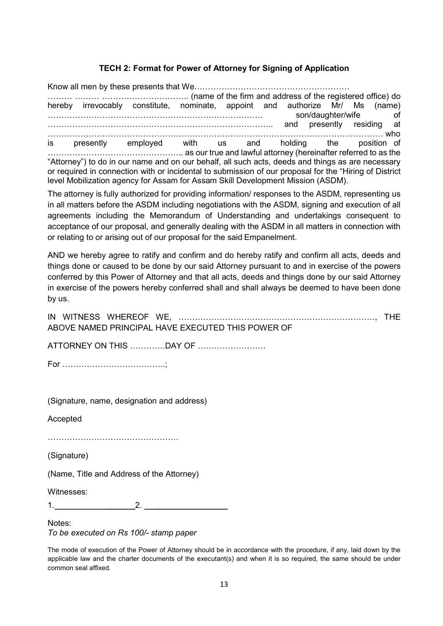### TECH 2: Format for Power of Attorney for Signing of Application

Know all men by these presents that We………………………………………………… ……… ……… ………………………….. (name of the firm and address of the registered office) do hereby irrevocably constitute, nominate, appoint and authorize Mr/ Ms (name) ……………………………………………………………………. son/daughter/wife of ……………………………………………………………………….. and presently residing at …………………………………………………………………………………………………………… who is presently employed with us and holding the position of ………………………………………….. as our true and lawful attorney (hereinafter referred to as the "Attorney") to do in our name and on our behalf, all such acts, deeds and things as are necessary or required in connection with or incidental to submission of our proposal for the "Hiring of District level Mobilization agency for Assam for Assam Skill Development Mission (ASDM).

The attorney is fully authorized for providing information/ responses to the ASDM, representing us in all matters before the ASDM including negotiations with the ASDM, signing and execution of all agreements including the Memorandum of Understanding and undertakings consequent to acceptance of our proposal, and generally dealing with the ASDM in all matters in connection with or relating to or arising out of our proposal for the said Empanelment.

AND we hereby agree to ratify and confirm and do hereby ratify and confirm all acts, deeds and things done or caused to be done by our said Attorney pursuant to and in exercise of the powers conferred by this Power of Attorney and that all acts, deeds and things done by our said Attorney in exercise of the powers hereby conferred shall and shall always be deemed to have been done by us.

IN WITNESS WHEREOF WE, ………………………………………………………………, THE ABOVE NAMED PRINCIPAL HAVE EXECUTED THIS POWER OF

ATTORNEY ON THIS ………….DAY OF …………………….

For ………………………………..;

(Signature, name, designation and address)

Accepted

…………………………………………

(Signature)

(Name, Title and Address of the Attorney)

Witnesses:

 $1.$   $2.$ 

Notes: To be executed on Rs 100/- stamp paper

The mode of execution of the Power of Attorney should be in accordance with the procedure, if any, laid down by the applicable law and the charter documents of the executant(s) and when it is so required, the same should be under common seal affixed.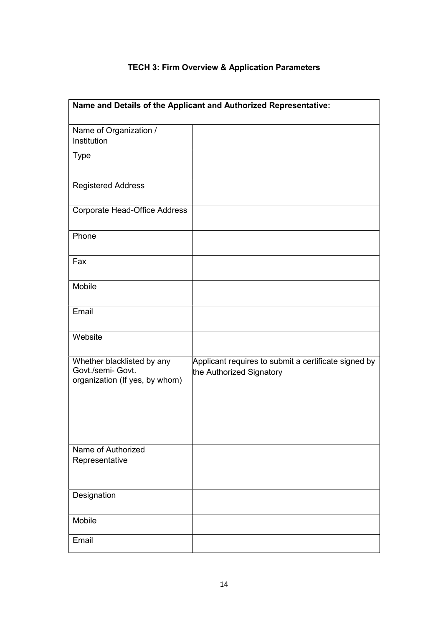| Name and Details of the Applicant and Authorized Representative:                  |                                                                                  |  |
|-----------------------------------------------------------------------------------|----------------------------------------------------------------------------------|--|
| Name of Organization /<br>Institution                                             |                                                                                  |  |
| <b>Type</b>                                                                       |                                                                                  |  |
| <b>Registered Address</b>                                                         |                                                                                  |  |
| Corporate Head-Office Address                                                     |                                                                                  |  |
| Phone                                                                             |                                                                                  |  |
| Fax                                                                               |                                                                                  |  |
| Mobile                                                                            |                                                                                  |  |
| Email                                                                             |                                                                                  |  |
| Website                                                                           |                                                                                  |  |
| Whether blacklisted by any<br>Govt./semi- Govt.<br>organization (If yes, by whom) | Applicant requires to submit a certificate signed by<br>the Authorized Signatory |  |
| Name of Authorized<br>Representative                                              |                                                                                  |  |
| Designation                                                                       |                                                                                  |  |
| Mobile                                                                            |                                                                                  |  |
| Email                                                                             |                                                                                  |  |

# TECH 3: Firm Overview & Application Parameters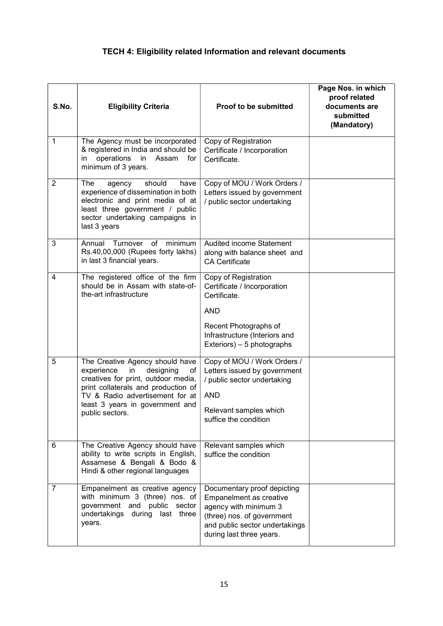# TECH 4: Eligibility related Information and relevant documents

| S.No.          | <b>Eligibility Criteria</b>                                                                                                                                                                                                                   | <b>Proof to be submitted</b>                                                                                                                                                | Page Nos. in which<br>proof related<br>documents are<br>submitted<br>(Mandatory) |
|----------------|-----------------------------------------------------------------------------------------------------------------------------------------------------------------------------------------------------------------------------------------------|-----------------------------------------------------------------------------------------------------------------------------------------------------------------------------|----------------------------------------------------------------------------------|
| 1              | The Agency must be incorporated<br>& registered in India and should be<br>operations<br>in<br>Assam<br>for<br>in<br>minimum of 3 years.                                                                                                       | Copy of Registration<br>Certificate / Incorporation<br>Certificate.                                                                                                         |                                                                                  |
| $\overline{2}$ | The<br>should<br>agency<br>have<br>experience of dissemination in both<br>electronic and print media of at<br>least three government / public<br>sector undertaking campaigns in<br>last 3 years                                              | Copy of MOU / Work Orders /<br>Letters issued by government<br>/ public sector undertaking                                                                                  |                                                                                  |
| 3              | Annual<br>of<br>minimum<br>Turnover<br>Rs.40,00,000 (Rupees forty lakhs)<br>in last 3 financial years.                                                                                                                                        | Audited income Statement<br>along with balance sheet and<br><b>CA Certificate</b>                                                                                           |                                                                                  |
| 4              | The registered office of the firm<br>should be in Assam with state-of-<br>the-art infrastructure                                                                                                                                              | Copy of Registration<br>Certificate / Incorporation<br>Certificate.<br><b>AND</b><br>Recent Photographs of<br>Infrastructure (Interiors and<br>Exteriors) - 5 photographs   |                                                                                  |
| 5              | The Creative Agency should have<br>experience<br>in<br>designing<br>of<br>creatives for print, outdoor media,<br>print collaterals and production of<br>TV & Radio advertisement for at<br>least 3 years in government and<br>public sectors. | Copy of MOU / Work Orders /<br>Letters issued by government<br>/ public sector undertaking<br><b>AND</b><br>Relevant samples which<br>suffice the condition                 |                                                                                  |
| 6              | The Creative Agency should have<br>ability to write scripts in English,<br>Assamese & Bengali & Bodo &<br>Hindi & other regional languages                                                                                                    | Relevant samples which<br>suffice the condition                                                                                                                             |                                                                                  |
| $\overline{7}$ | Empanelment as creative agency<br>with minimum 3 (three) nos. of<br>government and public sector<br>undertakings during last three<br>years.                                                                                                  | Documentary proof depicting<br>Empanelment as creative<br>agency with minimum 3<br>(three) nos. of government<br>and public sector undertakings<br>during last three years. |                                                                                  |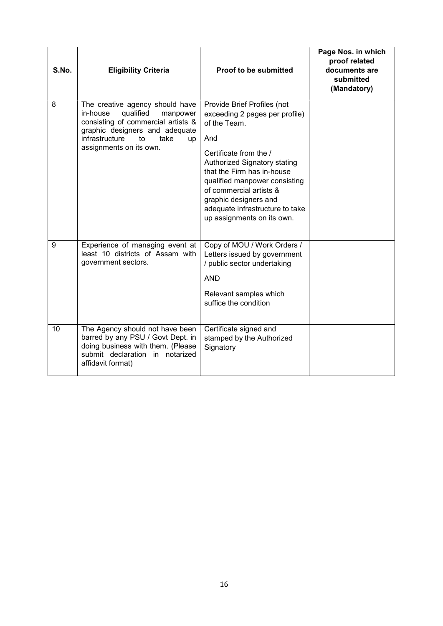| S.No. | <b>Eligibility Criteria</b>                                                                                                                                                                                   | Proof to be submitted                                                                                                                                                                                                                                                                                                              | Page Nos. in which<br>proof related<br>documents are<br>submitted<br>(Mandatory) |
|-------|---------------------------------------------------------------------------------------------------------------------------------------------------------------------------------------------------------------|------------------------------------------------------------------------------------------------------------------------------------------------------------------------------------------------------------------------------------------------------------------------------------------------------------------------------------|----------------------------------------------------------------------------------|
| 8     | The creative agency should have<br>in-house<br>qualified<br>manpower<br>consisting of commercial artists &<br>graphic designers and adequate<br>infrastructure<br>to<br>take<br>up<br>assignments on its own. | Provide Brief Profiles (not<br>exceeding 2 pages per profile)<br>of the Team.<br>And<br>Certificate from the /<br>Authorized Signatory stating<br>that the Firm has in-house<br>qualified manpower consisting<br>of commercial artists &<br>graphic designers and<br>adequate infrastructure to take<br>up assignments on its own. |                                                                                  |
| 9     | Experience of managing event at<br>least 10 districts of Assam with<br>government sectors.                                                                                                                    | Copy of MOU / Work Orders /<br>Letters issued by government<br>/ public sector undertaking<br><b>AND</b><br>Relevant samples which<br>suffice the condition                                                                                                                                                                        |                                                                                  |
| 10    | The Agency should not have been<br>barred by any PSU / Govt Dept. in<br>doing business with them. (Please<br>submit declaration in notarized<br>affidavit format)                                             | Certificate signed and<br>stamped by the Authorized<br>Signatory                                                                                                                                                                                                                                                                   |                                                                                  |